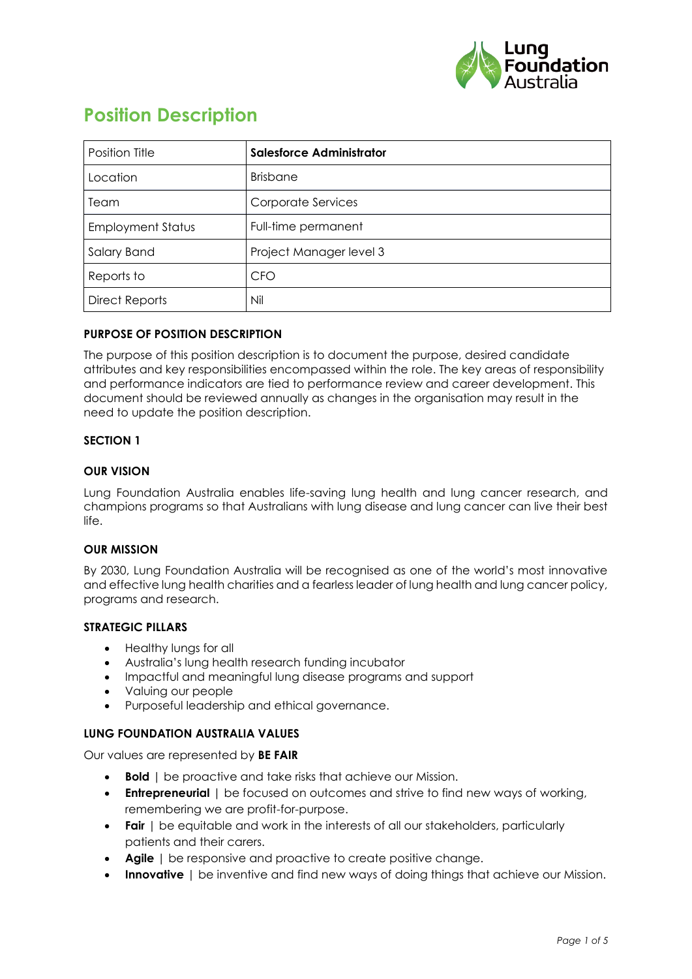

# **Position Description**

| Position Title           | <b>Salesforce Administrator</b> |
|--------------------------|---------------------------------|
| Location                 | <b>Brisbane</b>                 |
| Team                     | Corporate Services              |
| <b>Employment Status</b> | Full-time permanent             |
| Salary Band              | Project Manager level 3         |
| Reports to               | <b>CFO</b>                      |
| <b>Direct Reports</b>    | Nil                             |

## **PURPOSE OF POSITION DESCRIPTION**

The purpose of this position description is to document the purpose, desired candidate attributes and key responsibilities encompassed within the role. The key areas of responsibility and performance indicators are tied to performance review and career development. This document should be reviewed annually as changes in the organisation may result in the need to update the position description.

## **SECTION 1**

#### **OUR VISION**

Lung Foundation Australia enables life-saving lung health and lung cancer research, and champions programs so that Australians with lung disease and lung cancer can live their best life.

## **OUR MISSION**

By 2030, Lung Foundation Australia will be recognised as one of the world's most innovative and effective lung health charities and a fearless leader of lung health and lung cancer policy, programs and research.

#### **STRATEGIC PILLARS**

- Healthy lungs for all
- Australia's lung health research funding incubator
- Impactful and meaningful lung disease programs and support
- Valuing our people
- Purposeful leadership and ethical governance.

#### **LUNG FOUNDATION AUSTRALIA VALUES**

Our values are represented by **BE FAIR**

- **Bold** | be proactive and take risks that achieve our Mission.
- **Entrepreneurial** I be focused on outcomes and strive to find new ways of working, remembering we are profit-for-purpose.
- **Fair** | be equitable and work in the interests of all our stakeholders, particularly patients and their carers.
- **Agile** | be responsive and proactive to create positive change.
- **Innovative** | be inventive and find new ways of doing things that achieve our Mission.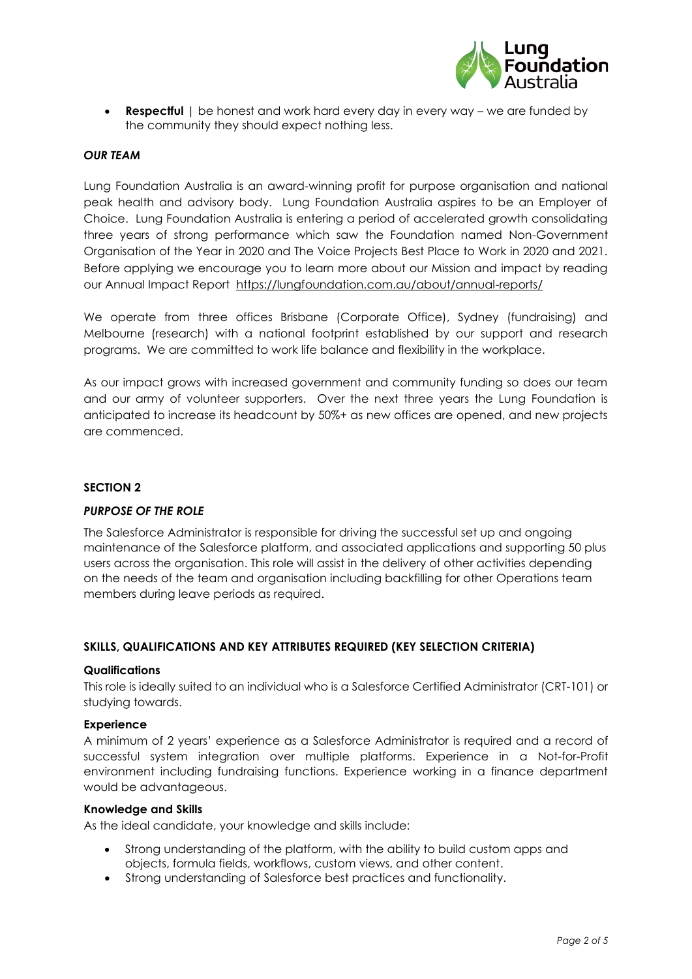

• **Respectful** | be honest and work hard every day in every way – we are funded by the community they should expect nothing less.

#### *OUR TEAM*

Lung Foundation Australia is an award-winning profit for purpose organisation and national peak health and advisory body. Lung Foundation Australia aspires to be an Employer of Choice. Lung Foundation Australia is entering a period of accelerated growth consolidating three years of strong performance which saw the Foundation named Non-Government Organisation of the Year in 2020 and The Voice Projects Best Place to Work in 2020 and 2021. Before applying we encourage you to learn more about our Mission and impact by reading our Annual Impact Report <https://lungfoundation.com.au/about/annual-reports/>

We operate from three offices Brisbane (Corporate Office), Sydney (fundraising) and Melbourne (research) with a national footprint established by our support and research programs. We are committed to work life balance and flexibility in the workplace.

As our impact grows with increased government and community funding so does our team and our army of volunteer supporters. Over the next three years the Lung Foundation is anticipated to increase its headcount by 50%+ as new offices are opened, and new projects are commenced.

## **SECTION 2**

#### *PURPOSE OF THE ROLE*

The Salesforce Administrator is responsible for driving the successful set up and ongoing maintenance of the Salesforce platform, and associated applications and supporting 50 plus users across the organisation. This role will assist in the delivery of other activities depending on the needs of the team and organisation including backfilling for other Operations team members during leave periods as required.

## **SKILLS, QUALIFICATIONS AND KEY ATTRIBUTES REQUIRED (KEY SELECTION CRITERIA)**

#### **Qualifications**

This role is ideally suited to an individual who is a Salesforce Certified Administrator (CRT-101) or studying towards.

#### **Experience**

A minimum of 2 years' experience as a Salesforce Administrator is required and a record of successful system integration over multiple platforms. Experience in a Not-for-Profit environment including fundraising functions. Experience working in a finance department would be advantageous.

#### **Knowledge and Skills**

As the ideal candidate, your knowledge and skills include:

- Strong understanding of the platform, with the ability to build custom apps and objects, formula fields, workflows, custom views, and other content.
- Strong understanding of Salesforce best practices and functionality.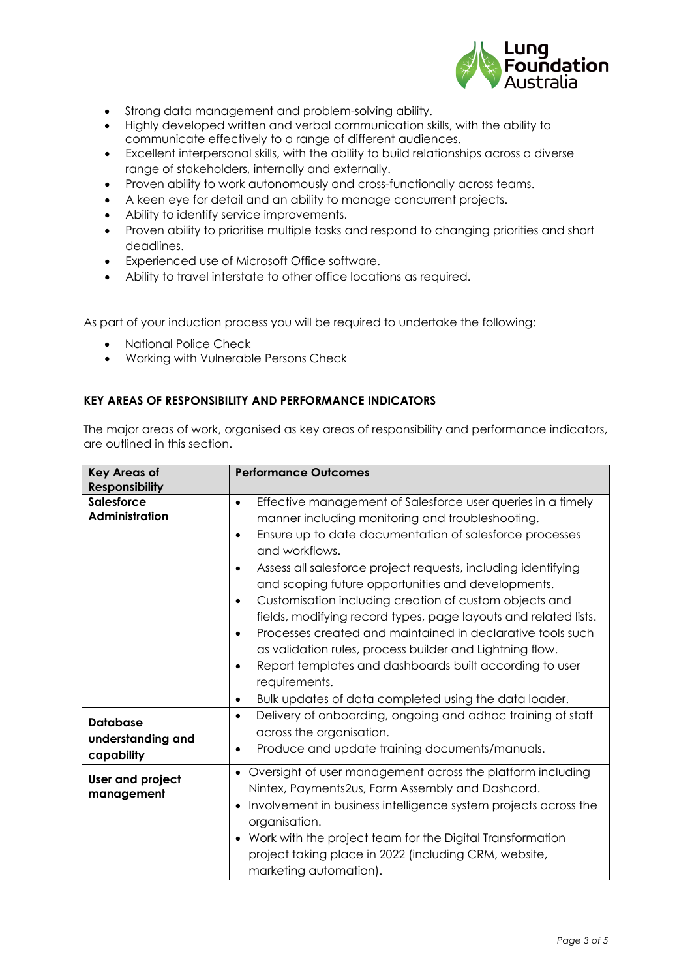

- Strong data management and problem-solving ability.
- Highly developed written and verbal communication skills, with the ability to communicate effectively to a range of different audiences.
- Excellent interpersonal skills, with the ability to build relationships across a diverse range of stakeholders, internally and externally.
- Proven ability to work autonomously and cross-functionally across teams.
- A keen eye for detail and an ability to manage concurrent projects.
- Ability to identify service improvements.
- Proven ability to prioritise multiple tasks and respond to changing priorities and short deadlines.
- Experienced use of Microsoft Office software.
- Ability to travel interstate to other office locations as required.

As part of your induction process you will be required to undertake the following:

- National Police Check
- Working with Vulnerable Persons Check

## **KEY AREAS OF RESPONSIBILITY AND PERFORMANCE INDICATORS**

The major areas of work, organised as key areas of responsibility and performance indicators, are outlined in this section.

| <b>Key Areas of</b><br><b>Responsibility</b>       | <b>Performance Outcomes</b>                                                                                                                                                                                                                                                                                                                                                                                                                                                                                                                                                                                                                                                                                                                                                                                |
|----------------------------------------------------|------------------------------------------------------------------------------------------------------------------------------------------------------------------------------------------------------------------------------------------------------------------------------------------------------------------------------------------------------------------------------------------------------------------------------------------------------------------------------------------------------------------------------------------------------------------------------------------------------------------------------------------------------------------------------------------------------------------------------------------------------------------------------------------------------------|
| <b>Salesforce</b><br>Administration                | Effective management of Salesforce user queries in a timely<br>$\bullet$<br>manner including monitoring and troubleshooting.<br>Ensure up to date documentation of salesforce processes<br>$\bullet$<br>and workflows.<br>Assess all salesforce project requests, including identifying<br>$\bullet$<br>and scoping future opportunities and developments.<br>Customisation including creation of custom objects and<br>$\bullet$<br>fields, modifying record types, page layouts and related lists.<br>Processes created and maintained in declarative tools such<br>$\bullet$<br>as validation rules, process builder and Lightning flow.<br>Report templates and dashboards built according to user<br>$\bullet$<br>requirements.<br>Bulk updates of data completed using the data loader.<br>$\bullet$ |
| <b>Database</b><br>understanding and<br>capability | Delivery of onboarding, ongoing and adhoc training of staff<br>$\bullet$<br>across the organisation.<br>Produce and update training documents/manuals.<br>$\bullet$                                                                                                                                                                                                                                                                                                                                                                                                                                                                                                                                                                                                                                        |
| User and project<br>management                     | • Oversight of user management across the platform including<br>Nintex, Payments2us, Form Assembly and Dashcord.<br>Involvement in business intelligence system projects across the<br>$\bullet$<br>organisation.<br>• Work with the project team for the Digital Transformation<br>project taking place in 2022 (including CRM, website,<br>marketing automation).                                                                                                                                                                                                                                                                                                                                                                                                                                        |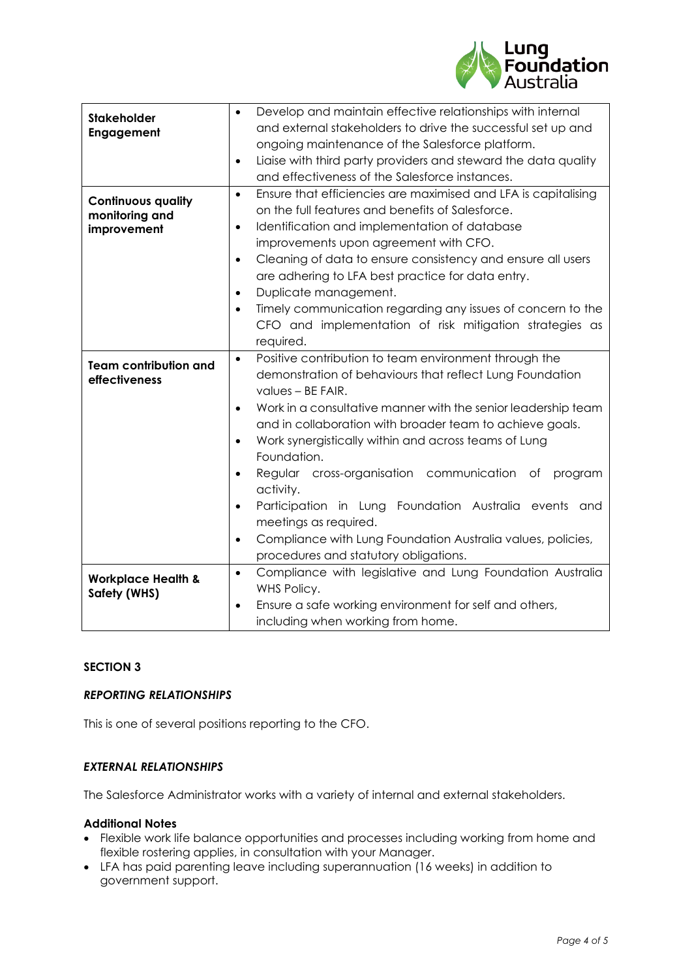

|                                                            | Develop and maintain effective relationships with internal<br>$\bullet$                                                                                                                                                    |
|------------------------------------------------------------|----------------------------------------------------------------------------------------------------------------------------------------------------------------------------------------------------------------------------|
| <b>Stakeholder</b><br>Engagement                           | and external stakeholders to drive the successful set up and                                                                                                                                                               |
|                                                            | ongoing maintenance of the Salesforce platform.                                                                                                                                                                            |
|                                                            | Liaise with third party providers and steward the data quality<br>$\bullet$                                                                                                                                                |
|                                                            | and effectiveness of the Salesforce instances.                                                                                                                                                                             |
| <b>Continuous quality</b><br>monitoring and<br>improvement | Ensure that efficiencies are maximised and LFA is capitalising<br>$\bullet$<br>on the full features and benefits of Salesforce.<br>Identification and implementation of database<br>$\bullet$                              |
|                                                            | improvements upon agreement with CFO.                                                                                                                                                                                      |
|                                                            | Cleaning of data to ensure consistency and ensure all users<br>$\bullet$                                                                                                                                                   |
|                                                            | are adhering to LFA best practice for data entry.                                                                                                                                                                          |
|                                                            | Duplicate management.<br>$\bullet$                                                                                                                                                                                         |
|                                                            | Timely communication regarding any issues of concern to the<br>$\bullet$                                                                                                                                                   |
|                                                            | CFO and implementation of risk mitigation strategies as                                                                                                                                                                    |
|                                                            | required.                                                                                                                                                                                                                  |
| <b>Team contribution and</b><br>effectiveness              | Positive contribution to team environment through the<br>$\bullet$<br>demonstration of behaviours that reflect Lung Foundation<br>values - BE FAIR.                                                                        |
|                                                            | Work in a consultative manner with the senior leadership team<br>$\bullet$<br>and in collaboration with broader team to achieve goals.<br>Work synergistically within and across teams of Lung<br>$\bullet$<br>Foundation. |
|                                                            | Regular cross-organisation communication<br>program<br>Оf<br>$\bullet$<br>activity.                                                                                                                                        |
|                                                            | Participation in Lung Foundation Australia events and<br>$\bullet$<br>meetings as required.                                                                                                                                |
|                                                            | Compliance with Lung Foundation Australia values, policies,<br>$\bullet$                                                                                                                                                   |
|                                                            | procedures and statutory obligations.                                                                                                                                                                                      |
| <b>Workplace Health &amp;</b><br><b>Safety (WHS)</b>       | Compliance with legislative and Lung Foundation Australia<br>$\bullet$<br>WHS Policy.                                                                                                                                      |
|                                                            | Ensure a safe working environment for self and others,<br>$\bullet$<br>including when working from home.                                                                                                                   |

### **SECTION 3**

#### *REPORTING RELATIONSHIPS*

This is one of several positions reporting to the CFO.

### *EXTERNAL RELATIONSHIPS*

The Salesforce Administrator works with a variety of internal and external stakeholders.

## **Additional Notes**

- Flexible work life balance opportunities and processes including working from home and flexible rostering applies, in consultation with your Manager.
- LFA has paid parenting leave including superannuation (16 weeks) in addition to government support.